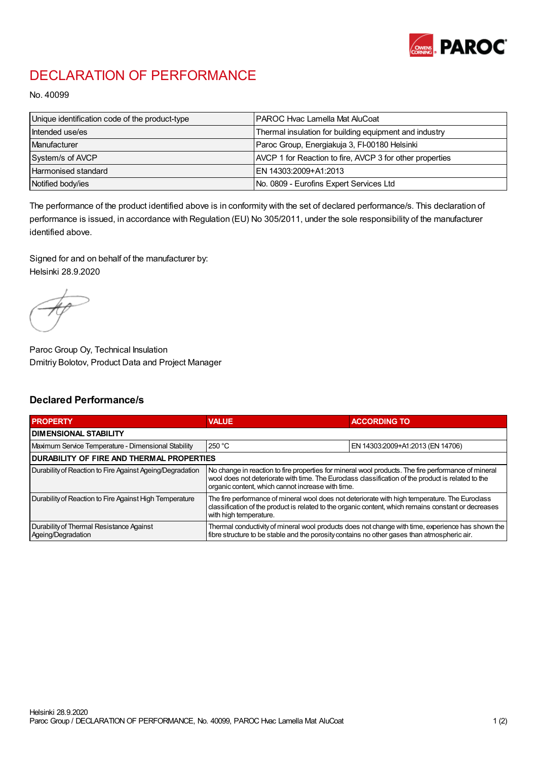

## DECLARATION OF PERFORMANCE

No. 40099

| Unique identification code of the product-type | I PAROC Hvac Lamella Mat AluCoat                         |
|------------------------------------------------|----------------------------------------------------------|
| Intended use/es                                | Thermal insulation for building equipment and industry   |
| Manufacturer                                   | Paroc Group, Energiakuja 3, FI-00180 Helsinki            |
| System/s of AVCP                               | AVCP 1 for Reaction to fire, AVCP 3 for other properties |
| Harmonised standard                            | IEN 14303:2009+A1:2013                                   |
| Notified body/ies                              | No. 0809 - Eurofins Expert Services Ltd                  |

The performance of the product identified above is in conformity with the set of declared performance/s. This declaration of performance is issued, in accordance with Regulation (EU) No 305/2011, under the sole responsibility of the manufacturer identified above.

Signed for and on behalf of the manufacturer by: Helsinki 28.9.2020

Paroc Group Oy, Technical Insulation Dmitriy Bolotov, Product Data and Project Manager

## Declared Performance/s

| <b>PROPERTY</b>                                                | <b>VALUE</b>                                                                                                                                                                                                                                                   | <b>ACCORDING TO.</b>             |  |
|----------------------------------------------------------------|----------------------------------------------------------------------------------------------------------------------------------------------------------------------------------------------------------------------------------------------------------------|----------------------------------|--|
| <b>DIMENSIONAL STABILITY</b>                                   |                                                                                                                                                                                                                                                                |                                  |  |
| Maximum Service Temperature - Dimensional Stability            | 250 °C                                                                                                                                                                                                                                                         | EN 14303:2009+A1:2013 (EN 14706) |  |
| <b>DURABILITY OF FIRE AND THERMAL PROPERTIES</b>               |                                                                                                                                                                                                                                                                |                                  |  |
| Durability of Reaction to Fire Against Ageing/Degradation      | No change in reaction to fire properties for mineral wool products. The fire performance of mineral<br>wool does not deteriorate with time. The Euroclass classification of the product is related to the<br>organic content, which cannot increase with time. |                                  |  |
| Durability of Reaction to Fire Against High Temperature        | The fire performance of mineral wool does not deteriorate with high temperature. The Euroclass<br>classification of the product is related to the organic content, which remains constant or decreases<br>with high temperature.                               |                                  |  |
| Durability of Thermal Resistance Against<br>Ageing/Degradation | Thermal conductivity of mineral wool products does not change with time, experience has shown the<br>fibre structure to be stable and the porosity contains no other gases than atmospheric air.                                                               |                                  |  |